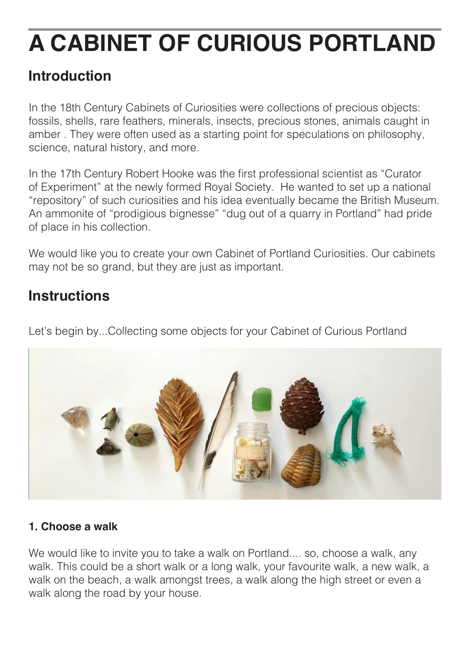# **A CABINET OF CURIOUS PORTLAND**

# **Introduction**

In the 18th Century Cabinets of Curiosities were collections of precious objects: fossils, shells, rare feathers, minerals, insects, precious stones, animals caught in amber . They were often used as a starting point for speculations on philosophy, science, natural history, and more.

In the 17th Century Robert Hooke was the first professional scientist as "Curator of Experiment" at the newly formed Royal Society. He wanted to set up a national "repository" of such curiosities and his idea eventually became the British Museum. An ammonite of "prodigious bignesse" "dug out of a quarry in Portland" had pride of place in his collection.

We would like you to create your own Cabinet of Portland Curiosities. Our cabinets may not be so grand, but they are just as important.

# **Instructions**

Let's begin by...Collecting some objects for your Cabinet of Curious Portland



#### **1. Choose a walk**

We would like to invite you to take a walk on Portland.... so, choose a walk, any walk. This could be a short walk or a long walk, your favourite walk, a new walk, a walk on the beach, a walk amongst trees, a walk along the high street or even a walk along the road by your house.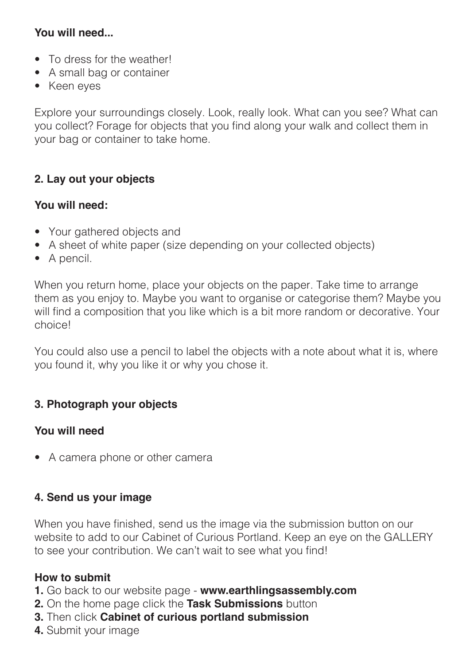#### **You will need...**

- To dress for the weather!
- A small bag or container
- Keen eyes

Explore your surroundings closely. Look, really look. What can you see? What can you collect? Forage for objects that you find along your walk and collect them in your bag or container to take home.

#### **2. Lay out your objects**

#### **You will need:**

- Your gathered objects and
- A sheet of white paper (size depending on your collected objects)
- A pencil.

When you return home, place your objects on the paper. Take time to arrange them as you enjoy to. Maybe you want to organise or categorise them? Maybe you will find a composition that you like which is a bit more random or decorative. Your choice!

You could also use a pencil to label the objects with a note about what it is, where you found it, why you like it or why you chose it.

#### **3. Photograph your objects**

#### **You will need**

• A camera phone or other camera

#### **4. Send us your image**

When you have finished, send us the image via the submission button on our website to add to our Cabinet of Curious Portland. Keep an eye on the GALLERY to see your contribution. We can't wait to see what you find!

#### **How to submit**

- **1.** Go back to our website page **www.earthlingsassembly.com**
- **2.** On the home page click the **Task Submissions** button
- **3.** Then click **Cabinet of curious portland submission**
- **4.** Submit your image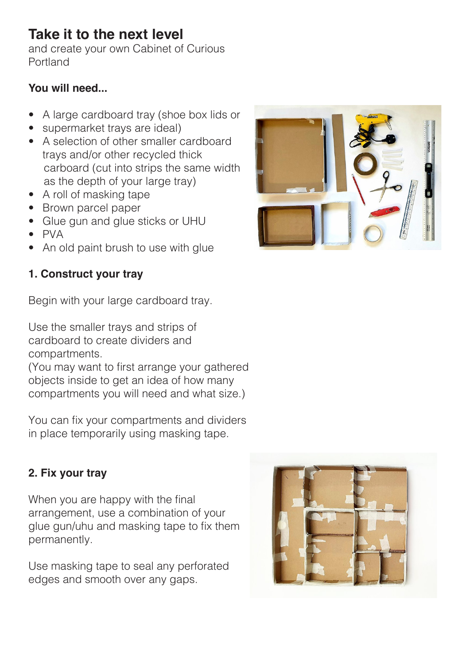# **Take it to the next level**

and create your own Cabinet of Curious Portland

#### **You will need...**

- A large cardboard tray (shoe box lids or
- supermarket trays are ideal)
- A selection of other smaller cardboard trays and/or other recycled thick carboard (cut into strips the same width as the depth of your large tray)
- A roll of masking tape
- Brown parcel paper
- Glue gun and glue sticks or UHU
- PVA
- An old paint brush to use with glue

## **1. Construct your tray**

Begin with your large cardboard tray.

Use the smaller trays and strips of cardboard to create dividers and compartments.

(You may want to first arrange your gathered objects inside to get an idea of how many compartments you will need and what size.)

You can fix your compartments and dividers in place temporarily using masking tape.

## **2. Fix your tray**

When you are happy with the final arrangement, use a combination of your glue gun/uhu and masking tape to fix them permanently.

Use masking tape to seal any perforated edges and smooth over any gaps.